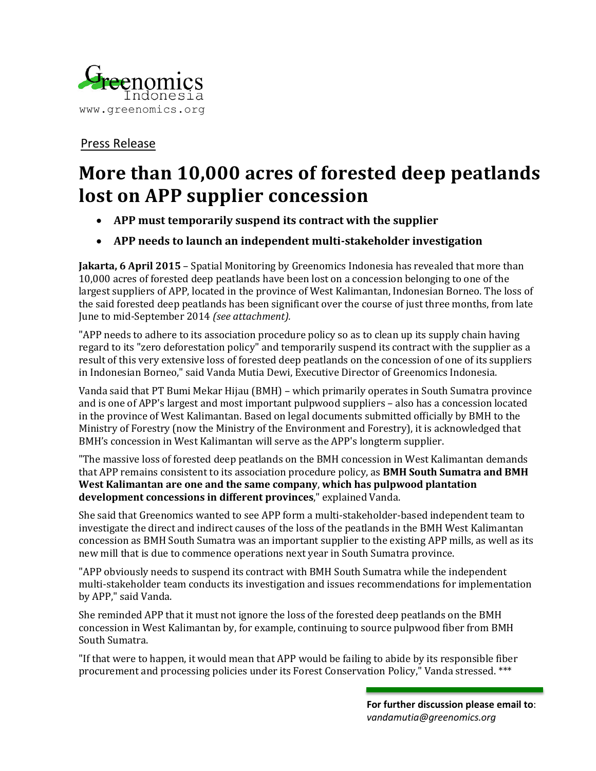

## Press Release

## **More than 10,000 acres of forested deep peatlands lost on APP supplier concession**

- **APP must temporarily suspend its contract with the supplier**
- **APP needs to launch an independent multi-stakeholder investigation**

**Jakarta, 6 April 2015** – Spatial Monitoring by Greenomics Indonesia has revealed that more than 10,000 acres of forested deep peatlands have been lost on a concession belonging to one of the largest suppliers of APP, located in the province of West Kalimantan, Indonesian Borneo. The loss of the said forested deep peatlands has been significant over the course of just three months, from late June to mid-September 2014 *(see attachment).*

"APP needs to adhere to its association procedure policy so as to clean up its supply chain having regard to its "zero deforestation policy" and temporarily suspend its contract with the supplier as a result of this very extensive loss of forested deep peatlands on the concession of one of its suppliers in Indonesian Borneo," said Vanda Mutia Dewi, Executive Director of Greenomics Indonesia.

Vanda said that PT Bumi Mekar Hijau (BMH) – which primarily operates in South Sumatra province and is one of APP's largest and most important pulpwood suppliers – also has a concession located in the province of West Kalimantan. Based on legal documents submitted officially by BMH to the Ministry of Forestry (now the Ministry of the Environment and Forestry), it is acknowledged that BMH's concession in West Kalimantan will serve as the APP's longterm supplier.

"The massive loss of forested deep peatlands on the BMH concession in West Kalimantan demands that APP remains consistent to its association procedure policy, as **BMH South Sumatra and BMH West Kalimantan are one and the same company**, **which has pulpwood plantation development concessions in different provinces**," explained Vanda.

She said that Greenomics wanted to see APP form a multi-stakeholder-based independent team to investigate the direct and indirect causes of the loss of the peatlands in the BMH West Kalimantan concession as BMH South Sumatra was an important supplier to the existing APP mills, as well as its new mill that is due to commence operations next year in South Sumatra province.

"APP obviously needs to suspend its contract with BMH South Sumatra while the independent multi-stakeholder team conducts its investigation and issues recommendations for implementation by APP," said Vanda.

She reminded APP that it must not ignore the loss of the forested deep peatlands on the BMH concession in West Kalimantan by, for example, continuing to source pulpwood fiber from BMH South Sumatra.

"If that were to happen, it would mean that APP would be failing to abide by its responsible fiber procurement and processing policies under its Forest Conservation Policy," Vanda stressed. \*\*\*

> **For further discussion please email to**: *vandamutia@greenomics.org*